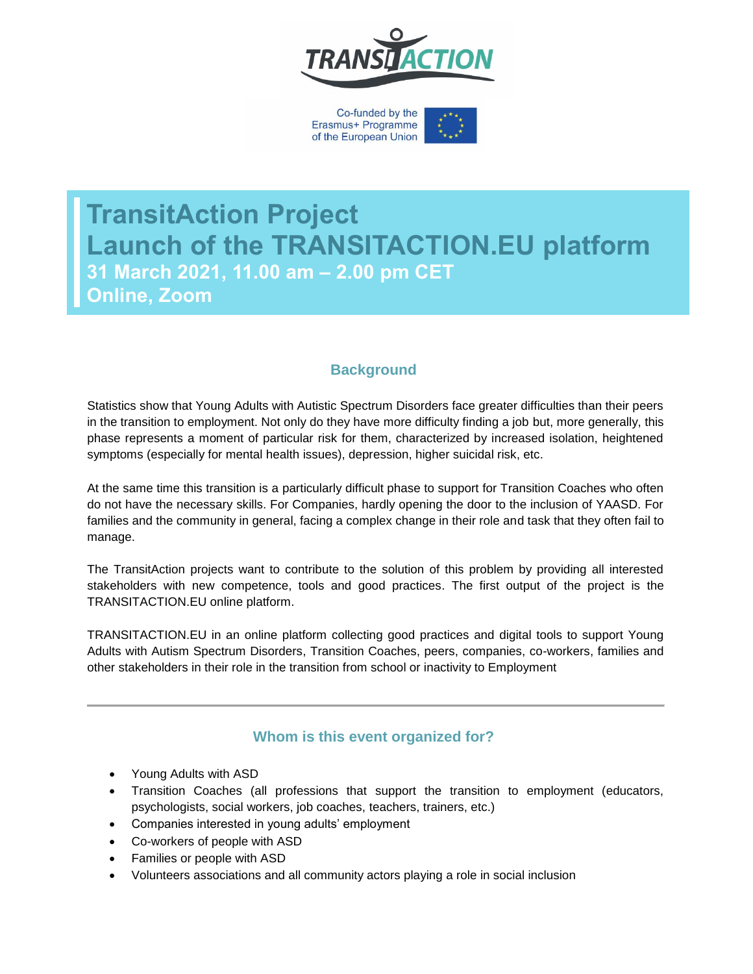

Co-funded by the Erasmus+ Programme of the European Union



**TransitAction Project Launch of the TRANSITACTION.EU platform 31 March 2021, 11.00 am – 2.00 pm CET Online, Zoom**

# **Background**

Statistics show that Young Adults with Autistic Spectrum Disorders face greater difficulties than their peers in the transition to employment. Not only do they have more difficulty finding a job but, more generally, this phase represents a moment of particular risk for them, characterized by increased isolation, heightened symptoms (especially for mental health issues), depression, higher suicidal risk, etc.

At the same time this transition is a particularly difficult phase to support for Transition Coaches who often do not have the necessary skills. For Companies, hardly opening the door to the inclusion of YAASD. For families and the community in general, facing a complex change in their role and task that they often fail to manage.

The TransitAction projects want to contribute to the solution of this problem by providing all interested stakeholders with new competence, tools and good practices. The first output of the project is the TRANSITACTION.EU online platform.

TRANSITACTION.EU in an online platform collecting good practices and digital tools to support Young Adults with Autism Spectrum Disorders, Transition Coaches, peers, companies, co-workers, families and other stakeholders in their role in the transition from school or inactivity to Employment

## **Whom is this event organized for?**

- Young Adults with ASD
- Transition Coaches (all professions that support the transition to employment (educators, psychologists, social workers, job coaches, teachers, trainers, etc.)
- Companies interested in young adults' employment
- Co-workers of people with ASD
- Families or people with ASD
- Volunteers associations and all community actors playing a role in social inclusion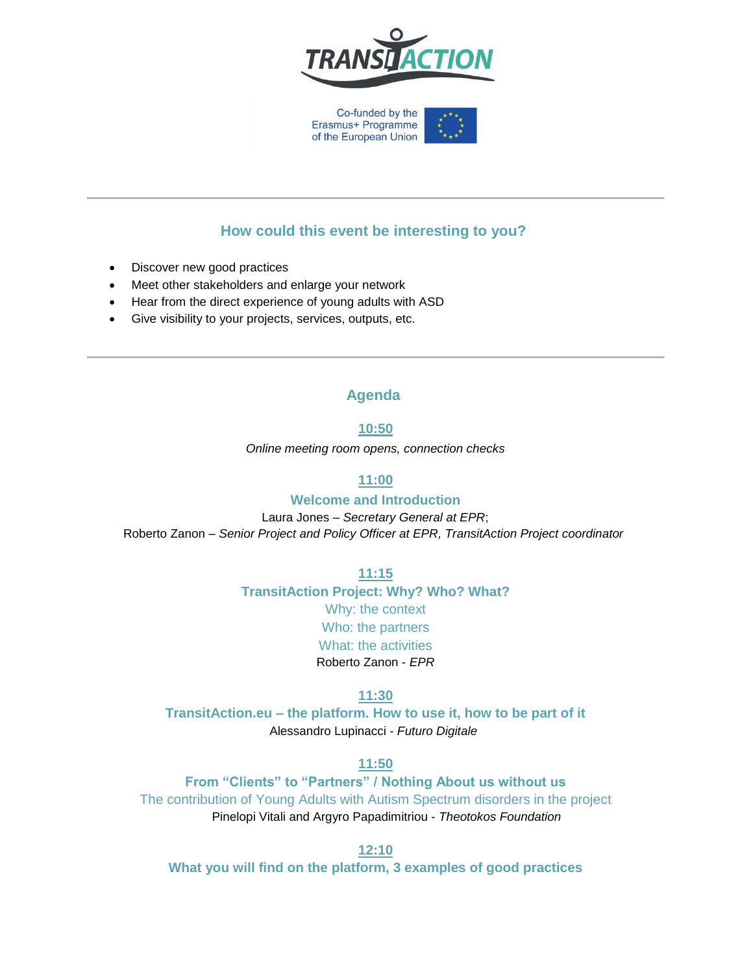

Co-funded by the Erasmus+ Programme of the European Union

# **How could this event be interesting to you?**

- Discover new good practices
- Meet other stakeholders and enlarge your network
- Hear from the direct experience of young adults with ASD
- Give visibility to your projects, services, outputs, etc.

## **Agenda**

#### **10:50**

*Online meeting room opens, connection checks*

### **11:00**

#### **Welcome and Introduction**

Laura Jones – *Secretary General at EPR*; Roberto Zanon – *Senior Project and Policy Officer at EPR, TransitAction Project coordinator*

**11:15** 

**TransitAction Project: Why? Who? What?** Why: the context Who: the partners What: the activities Roberto Zanon - *EPR*

#### **11:30**

**TransitAction.eu – the platform. How to use it, how to be part of it** Alessandro Lupinacci - *Futuro Digitale*

## **11:50**

**From "Clients" to "Partners" / Nothing About us without us** The contribution of Young Adults with Autism Spectrum disorders in the project Pinelopi Vitali and Argyro Papadimitriou - *Theotokos Foundation*

**12:10**

**What you will find on the platform, 3 examples of good practices**